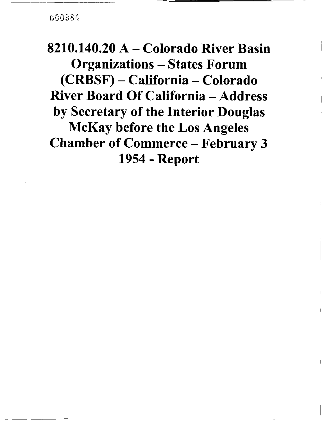jOOj8~,

8210. 140.20 A - Colorado River Basin Organizations - States Forum CRBSF) - California - Colorado River Board Of California - Address by Secretary of the Interior Douglas McKay before the Los Angeles Chamber of Commerce - February 3 1954 - Report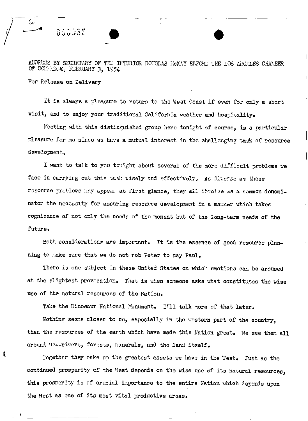ADDRESS BY SECRETARY OF THE INTERIOR DOUGLAS NGKAY BEFORE THE LOS ANGELES CHAMBER OF COMMERCE, FEBRUARY 3, 1954

For Release on Delivery

ريركا

It is always a pleasure to return to the West Coast if even for only a short visit, and to enjoy your traditional California weather and hospitality.

Meeting with this distinguished group here tonight of course, is a particular pleasure for me since we have a mutual interest in the challenging task of resource development.

I want to talk to you tonight about several of the more difficult problems we face in carrying out this task wisely and effectively. As diverse as these resource problems may appear at first glance, they all involve as a common denominator the necessity for assuring resource development in a manner which takes cognizance of not only the needs of the moment but of the long-term needs of the future,

Both considerations are important. It is the essence of good resource planning to make sure that we do not rob Peter to pay Paul.

There is one subject in these United States on which emotions can be aroused at the slightest provocation. That is when someone asks what constitutes the wise use of the natural resources of the Nation.

Take the Dinosaur National Monument. I'll talk more of that later.

Nothing seems closer to us, especially in the western part of the country, than the resources of the earth which have made this Nation great. We see them all around us--rivers, forests, minerals, and the land itself.

Together they make up the greatest assets we have in the West. Just as the continued prosperity of the Mest depends on the wise use of its natural resources, this prosperity is of crucial importance to the entire Nation which depends upon the West as one of its most vital productive areas.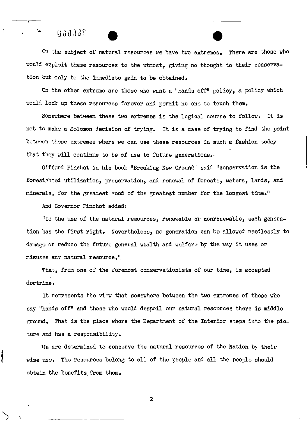### $0.338$

6

l.

On the subject of natural resources we have two extremes. There are those who would exploit these resources to the utmost, giving no thought to their conservation but anly to the immediate gain to be obtained.

On the other extreme are those who want a " hands off" policy, <sup>a</sup> policy which wauld lock up these resources forever and permit no one to touch them.

Somewhere between these two extremes is the logical course to follow. It is not to make a Solomon decision of trying. It is a case of trying to find the point between these extremes where we can use these resources in such a fashion today that they will continue to be of use to future generations.

Gifford Pinchot in his book "Breaking New Ground" said " conservation is the foresighted utilizatian, preservation, and renewal of forests, waters, lands, and minerals, for the greatest good of the greatest number for the longest time."

And Governar Pinchot added:

To the use af the natural resources, renewable or nonrenewable, each generation has the first right. Nevertheless, no generation can be allowed needlessly to damage or reduce the future general wealth and welfare by the way it uses or misuses any natural resource."

That, from one of the foremost conservationists of our time, is accepted doctrine.

It represents the view that samewhere between the two extremes of those wha say "hands off" and those who would despoil our natural resources there is middle graund. That is the place whore the Department of the Interior steps inta the picture and has a responsibility.

He are determined to conserve the natural resources of the Nation by their wise use. The resources belong to all of the people and all the people should obtain the benefits from them.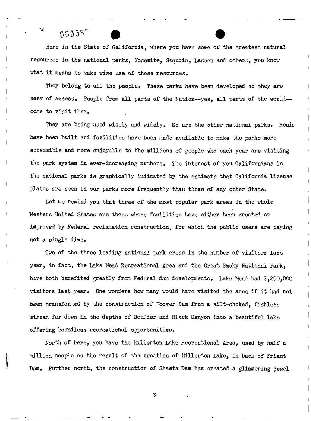# $000387$

Here in the State of California, where you have some of the greatest natural resources in the national parks, Yosemite, Sequoia, Lassen and others, you know what it means to make wise use of those resources.

They belong to all the people. These parks have been developed so they are easy of access. People from all parts of the Nation--yes, all parts of the world-come to visit them.

They are being used wisely and widely. So are the other national parks. Roads have been built and facilities have been made available to make the parks more accessible and more enjoyable to the millions of people who each year are visiting the park system in ever-increasing numbers. The interest of you Californians in the national parks is graphically indicated by the estimate that California license plates are seen in our parks more frequently than those of any other State.

Let me remind you that three of the most popular park areas in the whole Weatern United States are those whose facilities have either been created or improved by Federal reclamation construction, for which the public users are paying not <sup>a</sup> single dime.

Two of tha three leading national park areas in the nunber of visitors last year, in fact, tha Lake Mead Recreational Area and the Great Smoky National Park, have both benefited greatly from Federal dam developments. Lake Mead had 2,200,000 visitors last year. One wonders how many would have visited the area if it had not been transformed by the construction of Hoover Dam from <sup>a</sup> silt-choked, fishless stream far down in the depths of Boulder and Black Canyon into <sup>a</sup> beautiful lake offering boundless recreational opportunities.

North of here, you have the Millerton Lake Recreational Area, used by half a million people as the result of the creation of Millerton Lake, in back of Friant Dam. Further north, the construction of Shasta Dam has created <sup>a</sup> glimmering jewel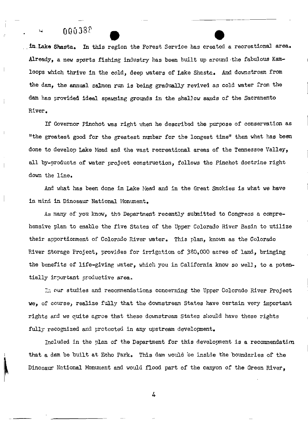### $00038$

in Lake Shasta. In this region the Forest Service has created a recreational area. Already, a new sports fishing industry has been built up around the fabulous Kamloops which thrive in the cold, deep waters of Lake Shasta. And downstream from the dam, the annual salmon run is being gradually revived as cold water from the dam has provided ideal spawning grounds in the shallow sands of the Sacramento River.

If Governor Pinchot was right when he described the purpose of conservation as "the greatest good for the greatest number for the longest time" then what has been done to develop Lake Mead and the vast recreational areas of the Tennessee Valley, all by-products of water project construction, follows the Pinchot doctrine right down the line.

And what has been done in Lake Nead and in the Great Smokies is what we have in mind in Dinosaur National Monument.

As many of you know, the Department recently submitted to Congress a comprehensive plan to enable the five States of the Upper Colorado River Basin to utilize their apportionment of Colorado River water. This plan, known as the Colorado River Storage Project, provides for irrigation of 380,000 acres of land, bringing the benefits of life-giving water, which you in California know so well, to a potentially important productive area.

In our studies and recommendations concerning the Upper Colorado River Project we, of course, realize fully that the downstream States have certain very important rights and we quite agree that these downstream States should have these rights fully recognized and protected in any upstream development.

Included in the plan of the Department for this development is a recommendation that a dam be built at Echo Park. This dam would be inside the boundaries of the Dinosaur National Monument and would flood part of the canyon of the Green River.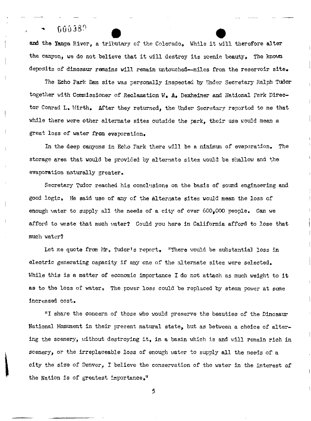#### 666389  $\sim$   $\sim$

and the Yampa River, a tributary of the Colorado. While it will therefore alter the canyon, we do not believe that it will destroy its scenic beauty. The known deposits of dinosaur remains will remain untouched--miles from the reservoir site.

The Echo Park Dam site was personally inspected by Under Secretary Ralph Tudor together with Commissioner of Reclamation W. A. Dexheimer and National Park Director Conrad L. Wirth. After they returned, the Under Secretary reported to me that while there were other alternate sites outside the park, their use would mean a great loss of water from evaporation.

In the deep canyons in Echo Park there will be a minimum of evaporation. The storage area that would be provided by alternate sites would be shallow and the evaporation naturally greater.

Secretary Tudor reached his conclusions on the basis of sound engineering and good logic. He said use of any of the alternate sites wouJd mean the loss of enough water to supply all the needs of a city of over  $600,000$  people. Can we afford to waste that much water? Could you here in California afford to lose that much water?

Let me quote from Mr. Tudor's report. "There would be substantial loss in electric generating capacity if any one of the alternate sites were selected. While this is a matter of economic importance  $I$  do not attach as much weight to it as to the loss of water. The power loss could be replaced by steam power at some increased cost.

"I share the concern of those who would preserve the beauties of the Dinosaur National Monument in their present natural state, but as between a choice of altering the scenery, without destroying it, in a basin which is and will remain rich in scenery, or the irreplaceable loss of enough water to supply all the needs of a city the size of Denver, I believe the conservation of the water in the interest of the Nation is of greatest importance."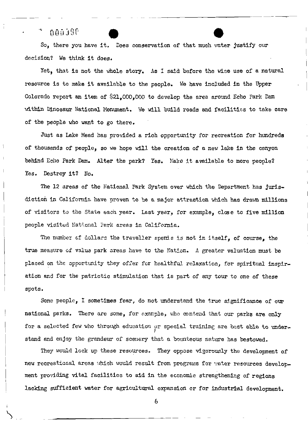#### $-0.053\%$

So, there you have it. Does conservation of that much water justify our decision? We think it does.

Yet, that is not the whole story. As I said before the wise use of a natural resource is to make it available to the people. We have included in the Upper Colorado report an item of  $$21,000,000$  to develop the area around Echo Park Dam within Dinosaur National Monument. We will build roads and facilities to take care of the people who want to go there.

Just as Lake Mead has provided <sup>a</sup> rich opportunity for recreation for hundreds of thousands of people, so we hope will the creation of <sup>a</sup> new lake in the canyon behind Echo Park Dam. Alter the park? Yes. Make it available to more people? Yes. Destroy it? No.

The <sup>12</sup> areas of the National Park System over which the Department has jurisdiction in California have proven to be a major attraction which has drawn millions of visitors to the State each year. Last year, for example, close to five million people visited National Park areas in California.

The number of dollars the traveller spenis is not in itself, of course, the true measure of value park areas have to the Nation. A greater valuation must be placed on the opportunity they offer for healthful relaxation, for spiritual inspiration and for the patriotic stimulation that is part of any tour to one of these spots.

Some people, I sometimes fear, do not understand the true significance of our national parks. There are some, for example, who contend that our parks are only for a selected few who through education or special training are best able to under-I stand and enjoy the grandeur of scenery that a bounteous nature has bestowed.

They would lock up these resources. They oppose vigorously the development of new recreational areas which would result from programs for water resources development providing vital facilities to aid in the economic strengthening of regions lacking sufficient water for agricultural expansion or for industrial development.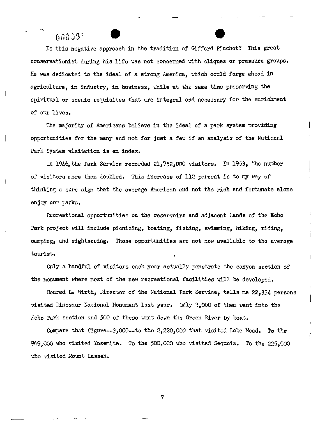### $00039^{\circ}$

 $\cdot$ 

Is this negative approach in the tradition of Gifford Pinchot? This great conservationist during his life was not concerned with cliques or pressure groups. He was dedicated to the ideal of a strong America, which could forge ahead in agriculture, in industry, in business, while at the same time preserving the spiritual or scenic requisites that are integral and necessary for the enrichment of our lives.

The majority of Americans believe in the ideal of <sup>a</sup> park system providing opportunities for the many and not for just <sup>a</sup> few if an analysis of the National Park System visitation is an index.

In 1946, the Park Service recorded 21, 752, <sup>000</sup> visitors. In 1953, the nmnber of visitors more than doubled. This increase of <sup>112</sup> percent is to my way of thinking <sup>a</sup> sure sign that the average American and not the rich and fortunate alone enjoy our parks.

Recreational opportunities on the reservoirs and adjacent lands of the Echo Park project will include picnicing, boating, fishing, swimming, hiking, riding, camping, and sightseeing. These opportunities are not now available to the average tourist.

Only <sup>a</sup> handful of visitors each year actually penetrate the canyon section of the monument where most of the new recreational facilities will be developed.

Conrad L. Wirth, Director of the National Park Service, tells me 22, <sup>334</sup> persons visited Dinosaur National Monument last year. only 3, <sup>000</sup> of them went into the Echo Park section and <sup>500</sup> of these went down the Green River by boat.

Compare that figure--3,000--to the  $2,220,000$  that visited Lake Mead. To the 969, <sup>000</sup> who visited Yosemite. To the 500, <sup>000</sup> who visited Sequoia. To the 225, <sup>000</sup> who visited Mount Lassen.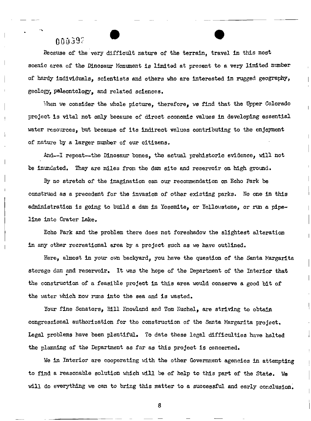#### OO1l39:~

Because of the very difficult nature of the terrain, travel in this most scenic area of the Dinosaur Monument is limited at present to a very limited number of hardy individuals, scientists and others who are interested in rugged geography, geology, paleontology, and related sciences.

When we consider the whole picture, therefore, we find that the Upper Colorado project is vital not only because of direct economic values in developing essential water resources, but because of its indirect values contributing to the enjoyment of nature by <sup>a</sup> larger number of our citizens.

And--I repeat--the Dinosaur bones, the actual prehistoric evidence, will not be inundated. They are miles from the dam site and reservoir on high ground.

By no stretch of the imagination can our recommendation on Echo Park be construed as <sup>a</sup> precedent for the invasion of other existing parks. No one in this administration is going to build a dam in Yosemite, or Yellowstone, or run a pipeline into Crater Lake.

Echo Park and the problem there does not foreshadow the slightest alteration in any other recreational area by a project such as we have outlined.

Here, almost in your own backyard, you have the question of the Santa Margarita storage dam and reservoir. It was the hope of the Department of the Interior that the construction of <sup>a</sup> feasible project in this area would conserve <sup>a</sup> good bit of the water which now runs into the sea and is wasted.

Your fine Senators, Bill Knowland and Tom Kuchel, are striving to obtain congressional authorization for tho construction of the Santa Margarita project. Legal problems have been plentiful. To date these legal difficulties have halted the planning of the Department as far as this project is concerned.

We in Interior are cooperating with the other Government agencies in attempting to find a reasonable solution which will be of help to this part of the State. We will do everything we can to bring this matter to a successful and early conclusion.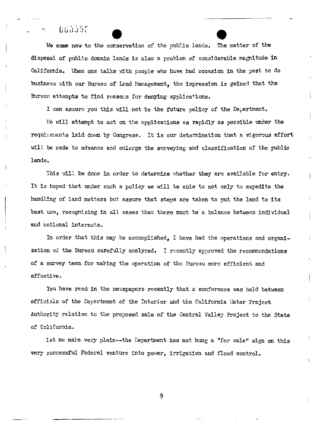### $000000$

We come now to the conservation of the public lands. The matter of the disposal of public domain lands is also a problem of considerable magnitude in California. When one talks with people who have had occasion in the past to do business with our Bureau of Land Management, the impression is gained that the Bureau attempts to find reasons for denying applications.

I can assure you this will not be the future policy of the Department.

We will attempt to act on the applications as rapidly as possible under the requirements laid down by Congress. It is our determination that a vigorous effort will be made to advance and enlarge the surveying and classification of the public lands.

This will be done in order to determine whether they are available for entry. It is hoped that under such a policy we will be able to not only to expedite the handling of land matters but assure that steps are taken to put the land to its best use, recognizing in all cases that there must be a balance between individual and national interests.

In order that this may be accomplished. I have had the operations and organization of the Bureau carefully analyzed. I recently approved the recommendations of a survey team for making the operation of the Bureau more efficient and effective.

You have read in the newspapers recently that a conference was held between officials of the Department of the Interior and the California Mater Project Authority relative to the proposed sale of the Central Valley Project to the State of California.

Iet me make very plain--the Department has not hung a "for sale" sign on this very successful Federal venture into power, irrigation and flood control.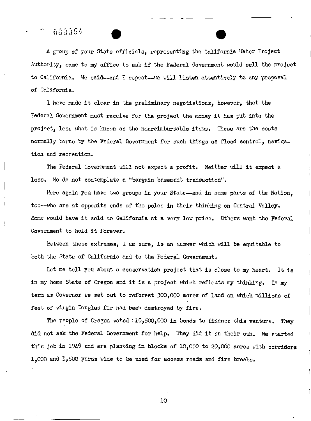## $0.0014$

<sup>A</sup> group of your State officials, representing the California Hater Project Authority, came to my office to ask if the Federal Government would sell the project hudhority, came to my office to ask if the rederal dovernment would self the projection of the said---and I repeat---we will listen attentively to any proposal of California.

I have made it clear in the preliminary negotiations, however, that the Federal Government must receive for the project the money it has put into the project, less what is known as the nonreimbursable items. These are the costs normally borne by the Federal Government for such things as flood control, navigation and recreation.

The Federal Government will not expect a profit. Neither will it expect a loss. We do not contemplate a "bargain basement transaction".

Here again you have two groups in your State--and in some parts of the Nation, too--who are at opposite ends of the poles in their thinking on Central Valley. Some would have it sold to California at a very low price. Others want the Federal Government to hold it forever.

Between these extremes, I am sure, is an answer which will be equitable to both the State of California and to the Federal Government.

Let me tell you about a conservation project that is close to my heart. It is in my home State of Oregon and it is <sup>a</sup> project which reflects my thinking. In my term as Governor we set out to reforest 300, <sup>000</sup> acres of land on which millions of feet of virgin Douglas fir had been destroyed by fire.

The people of Oregon voted  $(10, 500, 000$  in bonds to finance this venture. They did not ask the Federal Government for help. They did it on their own. We started this job in <sup>1949</sup> and are planting in blocks of 10, <sup>000</sup> to 20, <sup>000</sup> acres with corridors 1, <sup>000</sup> and 1, <sup>500</sup> yards wide to be used for access roads and fire breaks.